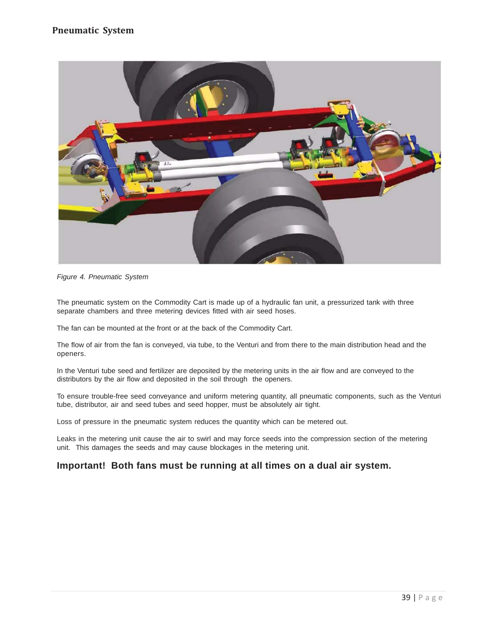

*Figure 4. Pneumatic System*

The pneumatic system on the Commodity Cart is made up of a hydraulic fan unit, a pressurized tank with three separate chambers and three metering devices fitted with air seed hoses.

The fan can be mounted at the front or at the back of the Commodity Cart.

The flow of air from the fan is conveyed, via tube, to the Venturi and from there to the main distribution head and the openers.

In the Venturi tube seed and fertilizer are deposited by the metering units in the air flow and are conveyed to the distributors by the air flow and deposited in the soil through the openers.

To ensure trouble-free seed conveyance and uniform metering quantity, all pneumatic components, such as the Venturi tube, distributor, air and seed tubes and seed hopper, must be absolutely air tight.

Loss of pressure in the pneumatic system reduces the quantity which can be metered out.

Leaks in the metering unit cause the air to swirl and may force seeds into the compression section of the metering unit. This damages the seeds and may cause blockages in the metering unit.

## **Important! Both fans must be running at all times on a dual air system.**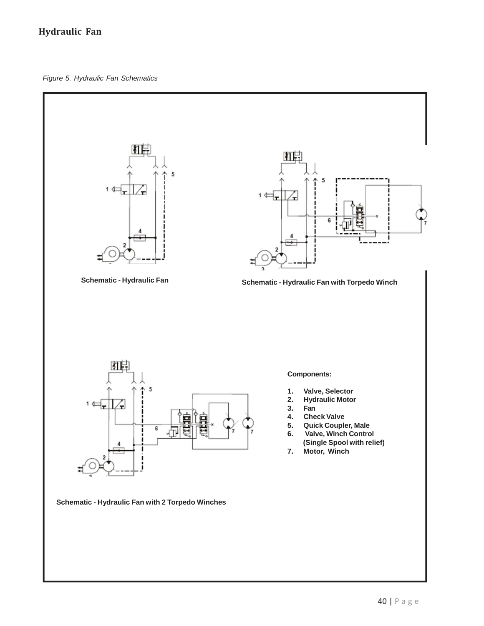# **Hydraulic Fan**

*Figure 5. Hydraulic Fan Schematics*